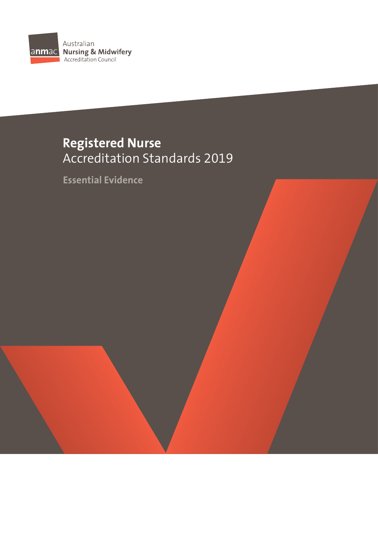

# **Registered Nurse**  Accreditation Standards 2019

**Essential Evidence**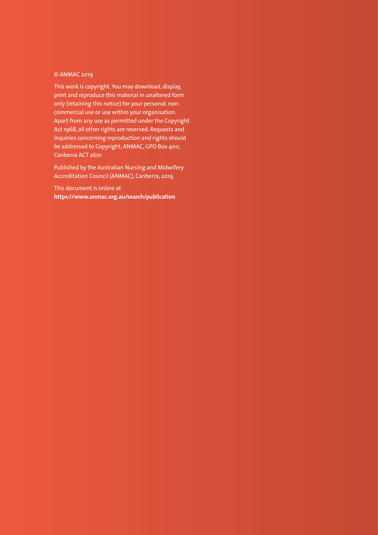### © ANMAC 2019

This work is copyright. You may download, display, print and reproduce this material in unaltered form only (retaining this notice) for your personal, noncommercial use or use within your organisation. Apart from any use as permitted under the Copyright Act 1968, all other rights are reserved. Requests and inquiries concerning reproduction and rights should be addressed to Copyright, ANMAC, GPO Box 400, Canberra ACT 2601

Published by the Australian Nursing and Midwifery Accreditation Council (ANMAC), Canberra, 2019.

This document is online at **<https://www.anmac.org.au/search/publication>**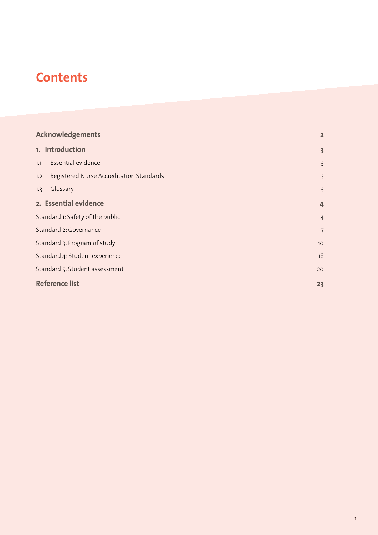# **Contents**

| <b>Acknowledgements</b>                         | $\overline{2}$          |
|-------------------------------------------------|-------------------------|
| 1. Introduction                                 | $\overline{\mathbf{3}}$ |
| Essential evidence<br>1.1                       | $\overline{\mathbf{3}}$ |
| Registered Nurse Accreditation Standards<br>1.2 | $\overline{\mathbf{3}}$ |
| Glossary<br>1.3                                 | $\overline{3}$          |
| 2. Essential evidence                           | $\overline{4}$          |
| Standard 1: Safety of the public                | $\overline{4}$          |
| Standard 2: Governance                          | $\overline{7}$          |
| Standard 3: Program of study                    | 10 <sup>°</sup>         |
| Standard 4: Student experience                  | 18                      |
| Standard 5: Student assessment                  | 20                      |
| <b>Reference list</b>                           | 23                      |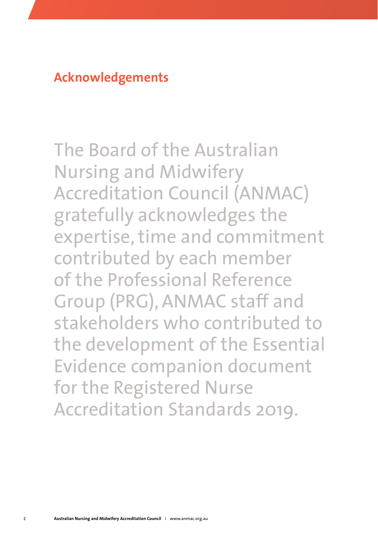## <span id="page-3-0"></span>**Acknowledgements**

The Board of the Australian Nursing and Midwifery Accreditation Council (ANMAC) gratefully acknowledges the expertise, time and commitment contributed by each member of the Professional Reference Group (PRG), ANMAC staff and stakeholders who contributed to the development of the Essential Evidence companion document for the Registered Nurse Accreditation Standards 2019.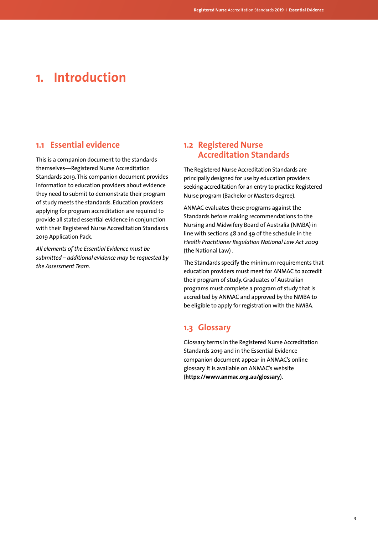## <span id="page-4-0"></span>**1. Introduction**

### **1.1 Essential evidence**

This is a companion document to the standards themselves—Registered Nurse Accreditation Standards 2019. This companion document provides information to education providers about evidence they need to submit to demonstrate their program of study meets the standards. Education providers applying for program accreditation are required to provide all stated essential evidence in conjunction with their Registered Nurse Accreditation Standards 2019 Application Pack.

*All elements of the Essential Evidence must be submitted – additional evidence may be requested by the Assessment Team.*

## **1.2 Registered Nurse Accreditation Standards**

The Registered Nurse Accreditation Standards are principally designed for use by education providers seeking accreditation for an entry to practice Registered Nurse program (Bachelor or Masters degree).

ANMAC evaluates these programs against the Standards before making recommendations to the Nursing and Midwifery Board of Australia (NMBA) in line with sections 48 and 49 of the schedule in the *Health Practitioner Regulation National Law Act 2009* (the National Law) .

The Standards specify the minimum requirements that education providers must meet for ANMAC to accredit their program of study. Graduates of Australian programs must complete a program of study that is accredited by ANMAC and approved by the NMBA to be eligible to apply for registration with the NMBA.

### **1.3 Glossary**

Glossary terms in the Registered Nurse Accreditation Standards 2019 and in the Essential Evidence companion document appear in ANMAC's online glossary. It is available on ANMAC's website (**<https://www.anmac.org.au/glossary>**).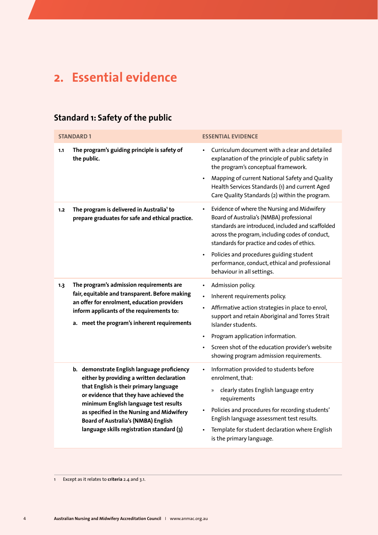# <span id="page-5-0"></span>**2. Essential evidence**

## **Standard 1: Safety of the public**

|     | <b>STANDARD1</b>                                                                                                                                                                                                                                                                                                                                               | <b>ESSENTIAL EVIDENCE</b>                                                                                                                                                                                                                                                                                                                                                 |
|-----|----------------------------------------------------------------------------------------------------------------------------------------------------------------------------------------------------------------------------------------------------------------------------------------------------------------------------------------------------------------|---------------------------------------------------------------------------------------------------------------------------------------------------------------------------------------------------------------------------------------------------------------------------------------------------------------------------------------------------------------------------|
| 1.1 | The program's guiding principle is safety of<br>the public.                                                                                                                                                                                                                                                                                                    | Curriculum document with a clear and detailed<br>explanation of the principle of public safety in<br>the program's conceptual framework.                                                                                                                                                                                                                                  |
|     |                                                                                                                                                                                                                                                                                                                                                                | Mapping of current National Safety and Quality<br>Health Services Standards (1) and current Aged<br>Care Quality Standards (2) within the program.                                                                                                                                                                                                                        |
| 1,2 | The program is delivered in Australia <sup>1</sup> to<br>prepare graduates for safe and ethical practice.                                                                                                                                                                                                                                                      | Evidence of where the Nursing and Midwifery<br>Board of Australia's (NMBA) professional<br>standards are introduced, included and scaffolded<br>across the program, including codes of conduct,<br>standards for practice and codes of ethics.<br>Policies and procedures guiding student<br>performance, conduct, ethical and professional<br>behaviour in all settings. |
| 1.3 | The program's admission requirements are<br>fair, equitable and transparent. Before making<br>an offer for enrolment, education providers<br>inform applicants of the requirements to:<br>a. meet the program's inherent requirements                                                                                                                          | Admission policy.<br>Inherent requirements policy.<br>Affirmative action strategies in place to enrol,<br>support and retain Aboriginal and Torres Strait<br>Islander students.<br>Program application information.<br>Screen shot of the education provider's website<br>showing program admission requirements.                                                         |
|     | b. demonstrate English language proficiency<br>either by providing a written declaration<br>that English is their primary language<br>or evidence that they have achieved the<br>minimum English language test results<br>as specified in the Nursing and Midwifery<br><b>Board of Australia's (NMBA) English</b><br>language skills registration standard (3) | Information provided to students before<br>enrolment, that:<br>clearly states English language entry<br>»<br>requirements<br>Policies and procedures for recording students'<br>English language assessment test results.<br>Template for student declaration where English<br>is the primary language.                                                                   |

1 Except as it relates to **criteria** 2.4 and 3.1.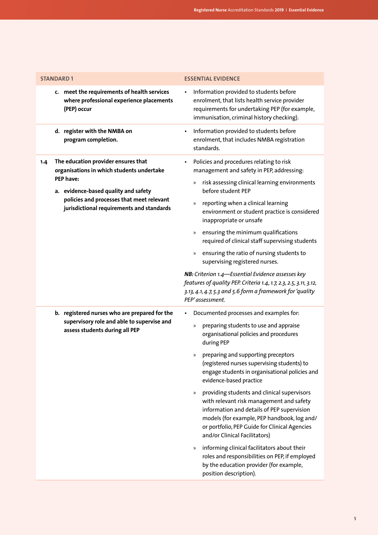| <b>STANDARD1</b>                                                                                                                                                                                                                       | <b>ESSENTIAL EVIDENCE</b>                                                                                                                                                                                                                                                                                                                                                                                                                                                                                                                                                                                                                                                                                                                                                                                        |
|----------------------------------------------------------------------------------------------------------------------------------------------------------------------------------------------------------------------------------------|------------------------------------------------------------------------------------------------------------------------------------------------------------------------------------------------------------------------------------------------------------------------------------------------------------------------------------------------------------------------------------------------------------------------------------------------------------------------------------------------------------------------------------------------------------------------------------------------------------------------------------------------------------------------------------------------------------------------------------------------------------------------------------------------------------------|
| c. meet the requirements of health services<br>where professional experience placements<br>(PEP) occur                                                                                                                                 | Information provided to students before<br>enrolment, that lists health service provider<br>requirements for undertaking PEP (for example,<br>immunisation, criminal history checking).                                                                                                                                                                                                                                                                                                                                                                                                                                                                                                                                                                                                                          |
| d. register with the NMBA on<br>program completion.                                                                                                                                                                                    | Information provided to students before<br>$\bullet$<br>enrolment, that includes NMBA registration<br>standards.                                                                                                                                                                                                                                                                                                                                                                                                                                                                                                                                                                                                                                                                                                 |
| The education provider ensures that<br>1.4<br>organisations in which students undertake<br>PEP have:<br>a. evidence-based quality and safety<br>policies and processes that meet relevant<br>jurisdictional requirements and standards | Policies and procedures relating to risk<br>$\bullet$<br>management and safety in PEP, addressing:<br>risk assessing clinical learning environments<br>$\gg$<br>before student PEP<br>reporting when a clinical learning<br>$\gg$<br>environment or student practice is considered<br>inappropriate or unsafe<br>» ensuring the minimum qualifications<br>required of clinical staff supervising students<br>ensuring the ratio of nursing students to<br>$\rangle\!\rangle$<br>supervising registered nurses.<br>NB: Criterion 1.4-Essential Evidence assesses key<br>features of quality PEP. Criteria 1.4, 1.7, 2.3, 2.5, 3.11, 3.12,<br>3.13, 4.1, 4.7, 5.3 and 5.6 form a framework for 'quality<br>PEP'assessment.                                                                                         |
| b. registered nurses who are prepared for the<br>supervisory role and able to supervise and<br>assess students during all PEP                                                                                                          | Documented processes and examples for:<br>preparing students to use and appraise<br>$\gg$<br>organisational policies and procedures<br>during PEP<br>preparing and supporting preceptors<br>$\rangle$<br>(registered nurses supervising students) to<br>engage students in organisational policies and<br>evidence-based practice<br>providing students and clinical supervisors<br>$\gg$<br>with relevant risk management and safety<br>information and details of PEP supervision<br>models (for example, PEP handbook, log and/<br>or portfolio, PEP Guide for Clinical Agencies<br>and/or Clinical Facilitators)<br>informing clinical facilitators about their<br>$\rangle\!\rangle$<br>roles and responsibilities on PEP, if employed<br>by the education provider (for example,<br>position description). |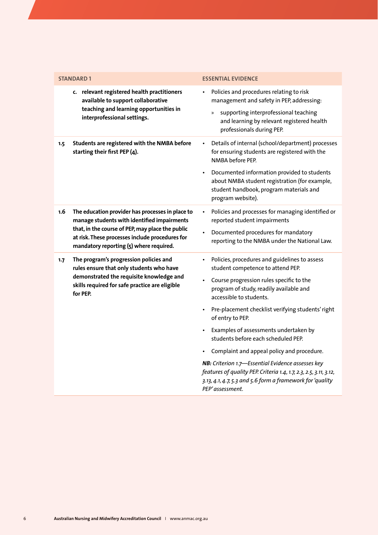|     | <b>STANDARD 1</b>                                                                                                                                                                                                                                 | <b>ESSENTIAL EVIDENCE</b>                                                                                                                                                                                                                                                                                                                                                                                                                                                                                                                                                                                             |
|-----|---------------------------------------------------------------------------------------------------------------------------------------------------------------------------------------------------------------------------------------------------|-----------------------------------------------------------------------------------------------------------------------------------------------------------------------------------------------------------------------------------------------------------------------------------------------------------------------------------------------------------------------------------------------------------------------------------------------------------------------------------------------------------------------------------------------------------------------------------------------------------------------|
|     | c. relevant registered health practitioners<br>available to support collaborative<br>teaching and learning opportunities in<br>interprofessional settings.                                                                                        | Policies and procedures relating to risk<br>management and safety in PEP, addressing:<br>supporting interprofessional teaching<br>»<br>and learning by relevant registered health<br>professionals during PEP.                                                                                                                                                                                                                                                                                                                                                                                                        |
| 1.5 | Students are registered with the NMBA before<br>starting their first PEP (4).                                                                                                                                                                     | Details of internal (school/department) processes<br>for ensuring students are registered with the<br>NMBA before PFP.<br>Documented information provided to students<br>about NMBA student registration (for example,<br>student handbook, program materials and<br>program website).                                                                                                                                                                                                                                                                                                                                |
| 1.6 | The education provider has processes in place to<br>manage students with identified impairments<br>that, in the course of PEP, may place the public<br>at risk. These processes include procedures for<br>mandatory reporting (5) where required. | Policies and processes for managing identified or<br>reported student impairments<br>Documented procedures for mandatory<br>reporting to the NMBA under the National Law.                                                                                                                                                                                                                                                                                                                                                                                                                                             |
| 1.7 | The program's progression policies and<br>rules ensure that only students who have<br>demonstrated the requisite knowledge and<br>skills required for safe practice are eligible<br>for PEP.                                                      | Policies, procedures and guidelines to assess<br>student competence to attend PEP.<br>Course progression rules specific to the<br>program of study, readily available and<br>accessible to students.<br>Pre-placement checklist verifying students' right<br>of entry to PEP.<br>Examples of assessments undertaken by<br>students before each scheduled PEP.<br>Complaint and appeal policy and procedure.<br>NB: Criterion 1.7-Essential Evidence assesses key<br>features of quality PEP. Criteria 1.4, 1.7, 2.3, 2.5, 3.11, 3.12,<br>3.13, 4.1, 4.7, 5.3 and 5.6 form a framework for 'quality<br>PEP'assessment. |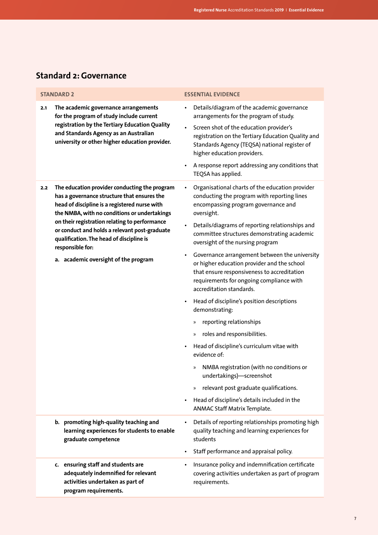## <span id="page-8-0"></span>**Standard 2: Governance**

| <b>STANDARD 2</b>                                                                                                                                                                                                                                                                                                                                                                                              | <b>ESSENTIAL EVIDENCE</b>                                                                                                                                                                                                                                                                                                                                                                                                                                                                                                                                                                                                                                                                                                                                                                                                                                                                                                                                                                             |
|----------------------------------------------------------------------------------------------------------------------------------------------------------------------------------------------------------------------------------------------------------------------------------------------------------------------------------------------------------------------------------------------------------------|-------------------------------------------------------------------------------------------------------------------------------------------------------------------------------------------------------------------------------------------------------------------------------------------------------------------------------------------------------------------------------------------------------------------------------------------------------------------------------------------------------------------------------------------------------------------------------------------------------------------------------------------------------------------------------------------------------------------------------------------------------------------------------------------------------------------------------------------------------------------------------------------------------------------------------------------------------------------------------------------------------|
| The academic governance arrangements<br>2.1<br>for the program of study include current<br>registration by the Tertiary Education Quality<br>and Standards Agency as an Australian<br>university or other higher education provider.                                                                                                                                                                           | Details/diagram of the academic governance<br>$\bullet$<br>arrangements for the program of study.<br>Screen shot of the education provider's<br>٠<br>registration on the Tertiary Education Quality and<br>Standards Agency (TEQSA) national register of<br>higher education providers.<br>A response report addressing any conditions that<br>TEQSA has applied.                                                                                                                                                                                                                                                                                                                                                                                                                                                                                                                                                                                                                                     |
| The education provider conducting the program<br>2.2<br>has a governance structure that ensures the<br>head of discipline is a registered nurse with<br>the NMBA, with no conditions or undertakings<br>on their registration relating to performance<br>or conduct and holds a relevant post-graduate<br>qualification. The head of discipline is<br>responsible for:<br>a. academic oversight of the program | Organisational charts of the education provider<br>٠<br>conducting the program with reporting lines<br>encompassing program governance and<br>oversight.<br>Details/diagrams of reporting relationships and<br>$\bullet$<br>committee structures demonstrating academic<br>oversight of the nursing program<br>Governance arrangement between the university<br>٠<br>or higher education provider and the school<br>that ensure responsiveness to accreditation<br>requirements for ongoing compliance with<br>accreditation standards.<br>Head of discipline's position descriptions<br>$\bullet$<br>demonstrating:<br>reporting relationships<br>»<br>roles and responsibilities.<br>$\rangle\!\!\!\rangle$<br>Head of discipline's curriculum vitae with<br>٠<br>evidence of:<br>NMBA registration (with no conditions or<br>»<br>undertakings)-screenshot<br>relevant post graduate qualifications.<br>$\gg$<br>Head of discipline's details included in the<br>٠<br>ANMAC Staff Matrix Template. |
| b. promoting high-quality teaching and<br>learning experiences for students to enable<br>graduate competence                                                                                                                                                                                                                                                                                                   | Details of reporting relationships promoting high<br>٠<br>quality teaching and learning experiences for<br>students<br>Staff performance and appraisal policy.                                                                                                                                                                                                                                                                                                                                                                                                                                                                                                                                                                                                                                                                                                                                                                                                                                        |
| c. ensuring staff and students are<br>adequately indemnified for relevant<br>activities undertaken as part of<br>program requirements.                                                                                                                                                                                                                                                                         | Insurance policy and indemnification certificate<br>٠<br>covering activities undertaken as part of program<br>requirements.                                                                                                                                                                                                                                                                                                                                                                                                                                                                                                                                                                                                                                                                                                                                                                                                                                                                           |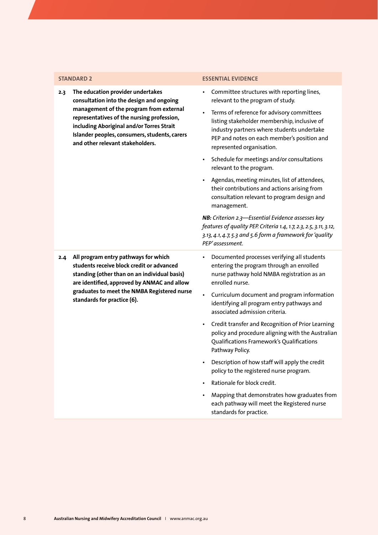**2.3 The education provider undertakes consultation into the design and ongoing management of the program from external representatives of the nursing profession, including Aboriginal and/or Torres Strait Islander peoples, consumers, students, carers and other relevant stakeholders.**

#### **STANDARD 2 ESSENTIAL EVIDENCE**

- Committee structures with reporting lines, relevant to the program of study.
- Terms of reference for advisory committees listing stakeholder membership, inclusive of industry partners where students undertake PEP and notes on each member's position and represented organisation.
- Schedule for meetings and/or consultations relevant to the program.
- Agendas, meeting minutes, list of attendees, their contributions and actions arising from consultation relevant to program design and management.

*NB: Criterion 2.3—Essential Evidence assesses key features of quality PEP. Criteria 1.4, 1.7, 2.3, 2.5, 3.11, 3.12, 3.13, 4.1, 4.7, 5.3 and 5.6 form a framework for 'quality PEP' assessment.*

- **2.4 All program entry pathways for which students receive block credit or advanced standing (other than on an individual basis) are identified, approved by ANMAC and allow graduates to meet the NMBA Registered nurse standards for practice (6).**
- Documented processes verifying all students entering the program through an enrolled nurse pathway hold NMBA registration as an enrolled nurse.
- Curriculum document and program information identifying all program entry pathways and associated admission criteria.
- Credit transfer and Recognition of Prior Learning policy and procedure aligning with the Australian Qualifications Framework's Qualifications Pathway Policy.
- Description of how staff will apply the credit policy to the registered nurse program.
- Rationale for block credit.
- Mapping that demonstrates how graduates from each pathway will meet the Registered nurse standards for practice.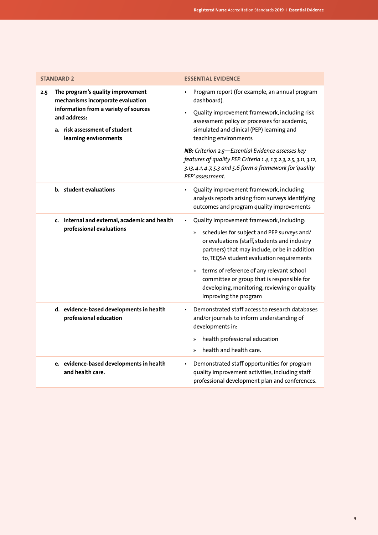| <b>STANDARD 2</b>                                                                                               | <b>ESSENTIAL EVIDENCE</b>                                                                                                                                                                                      |
|-----------------------------------------------------------------------------------------------------------------|----------------------------------------------------------------------------------------------------------------------------------------------------------------------------------------------------------------|
| The program's quality improvement<br>2.5<br>mechanisms incorporate evaluation                                   | Program report (for example, an annual program<br>dashboard).                                                                                                                                                  |
| information from a variety of sources<br>and address:<br>a. risk assessment of student<br>learning environments | Quality improvement framework, including risk<br>$\bullet$<br>assessment policy or processes for academic,<br>simulated and clinical (PEP) learning and<br>teaching environments                               |
|                                                                                                                 | NB: Criterion 2.5-Essential Evidence assesses key<br>features of quality PEP. Criteria 1.4, 1.7, 2.3, 2.5, 3.11, 3.12,<br>3.13, 4.1, 4.7, 5.3 and 5.6 form a framework for 'quality<br>PEP'assessment.         |
| b. student evaluations                                                                                          | Quality improvement framework, including<br>analysis reports arising from surveys identifying<br>outcomes and program quality improvements                                                                     |
| c. internal and external, academic and health                                                                   | Quality improvement framework, including:                                                                                                                                                                      |
| professional evaluations                                                                                        | schedules for subject and PEP surveys and/<br>$\rangle\!\rangle$<br>or evaluations (staff, students and industry<br>partners) that may include, or be in addition<br>to, TEQSA student evaluation requirements |
|                                                                                                                 | terms of reference of any relevant school<br>$\gg$<br>committee or group that is responsible for<br>developing, monitoring, reviewing or quality<br>improving the program                                      |
| d. evidence-based developments in health<br>professional education                                              | Demonstrated staff access to research databases<br>$\bullet$<br>and/or journals to inform understanding of<br>developments in:                                                                                 |
|                                                                                                                 | health professional education<br>$\gg$<br>health and health care.<br>$\mathcal{D}$                                                                                                                             |
| e. evidence-based developments in health<br>and health care.                                                    | Demonstrated staff opportunities for program<br>$\bullet$<br>quality improvement activities, including staff<br>professional development plan and conferences.                                                 |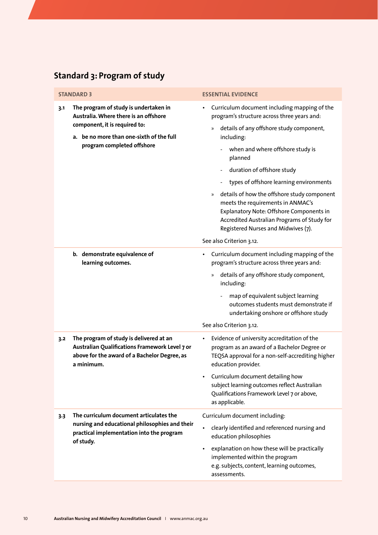## <span id="page-11-0"></span>**Standard 3: Program of study**

| <b>STANDARD 3</b>                                                                                                                                                                                | <b>ESSENTIAL EVIDENCE</b>                                                                                                                                                                                                                                                                                                                                                                                                                                                                                                                                                       |
|--------------------------------------------------------------------------------------------------------------------------------------------------------------------------------------------------|---------------------------------------------------------------------------------------------------------------------------------------------------------------------------------------------------------------------------------------------------------------------------------------------------------------------------------------------------------------------------------------------------------------------------------------------------------------------------------------------------------------------------------------------------------------------------------|
| The program of study is undertaken in<br>3.1<br>Australia. Where there is an offshore<br>component, it is required to:<br>a. be no more than one-sixth of the full<br>program completed offshore | Curriculum document including mapping of the<br>$\bullet$<br>program's structure across three years and:<br>details of any offshore study component,<br>$\rangle$<br>including:<br>when and where offshore study is<br>planned<br>duration of offshore study<br>types of offshore learning environments<br>details of how the offshore study component<br>$\rangle\!\rangle$<br>meets the requirements in ANMAC's<br>Explanatory Note: Offshore Components in<br>Accredited Australian Programs of Study for<br>Registered Nurses and Midwives (7).<br>See also Criterion 3.12. |
| b. demonstrate equivalence of                                                                                                                                                                    | Curriculum document including mapping of the<br>٠                                                                                                                                                                                                                                                                                                                                                                                                                                                                                                                               |
| learning outcomes.                                                                                                                                                                               | program's structure across three years and:                                                                                                                                                                                                                                                                                                                                                                                                                                                                                                                                     |
|                                                                                                                                                                                                  | details of any offshore study component,<br>$\gg$<br>including:<br>map of equivalent subject learning<br>outcomes students must demonstrate if                                                                                                                                                                                                                                                                                                                                                                                                                                  |
|                                                                                                                                                                                                  | undertaking onshore or offshore study<br>See also Criterion 3.12.                                                                                                                                                                                                                                                                                                                                                                                                                                                                                                               |
| The program of study is delivered at an<br>3.2<br>Australian Qualifications Framework Level 7 or<br>above for the award of a Bachelor Degree, as<br>a minimum.                                   | Evidence of university accreditation of the<br>program as an award of a Bachelor Degree or<br>TEQSA approval for a non-self-accrediting higher<br>education provider.<br>Curriculum document detailing how                                                                                                                                                                                                                                                                                                                                                                      |
|                                                                                                                                                                                                  | subject learning outcomes reflect Australian<br>Qualifications Framework Level 7 or above,<br>as applicable.                                                                                                                                                                                                                                                                                                                                                                                                                                                                    |
| The curriculum document articulates the<br>3.3                                                                                                                                                   | Curriculum document including:                                                                                                                                                                                                                                                                                                                                                                                                                                                                                                                                                  |
| nursing and educational philosophies and their<br>practical implementation into the program<br>of study.                                                                                         | clearly identified and referenced nursing and<br>$\bullet$<br>education philosophies                                                                                                                                                                                                                                                                                                                                                                                                                                                                                            |
|                                                                                                                                                                                                  | explanation on how these will be practically<br>implemented within the program<br>e.g. subjects, content, learning outcomes,<br>assessments.                                                                                                                                                                                                                                                                                                                                                                                                                                    |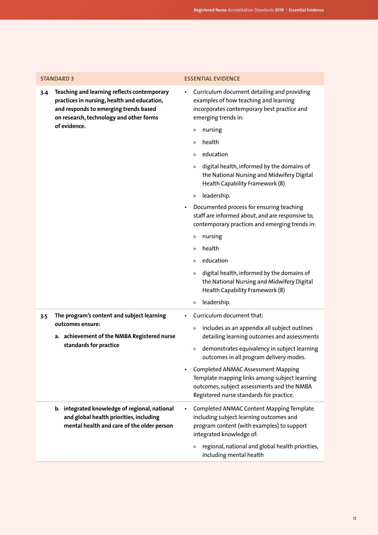| <b>STANDARD 3</b>                                                                                                                                                                     | <b>ESSENTIAL EVIDENCE</b>                                                                                                                                                            |
|---------------------------------------------------------------------------------------------------------------------------------------------------------------------------------------|--------------------------------------------------------------------------------------------------------------------------------------------------------------------------------------|
| Teaching and learning reflects contemporary<br>3.4<br>practices in nursing, health and education,<br>and responds to emerging trends based<br>on research, technology and other forms | Curriculum document detailing and providing<br>$\bullet$<br>examples of how teaching and learning<br>incorporates contemporary best practice and<br>emerging trends in:              |
| of evidence.                                                                                                                                                                          | nursing<br>$\rangle\!\rangle$                                                                                                                                                        |
|                                                                                                                                                                                       | health<br>$\mathcal{D}$                                                                                                                                                              |
|                                                                                                                                                                                       | education<br>»                                                                                                                                                                       |
|                                                                                                                                                                                       | digital health, informed by the domains of<br>$\gg$<br>the National Nursing and Midwifery Digital<br>Health Capability Framework (8)                                                 |
|                                                                                                                                                                                       | leadership.<br>$\gg$                                                                                                                                                                 |
|                                                                                                                                                                                       | Documented process for ensuring teaching<br>$\bullet$<br>staff are informed about, and are responsive to,<br>contemporary practices and emerging trends in:                          |
|                                                                                                                                                                                       | nursing<br>$\rangle\!\rangle$                                                                                                                                                        |
|                                                                                                                                                                                       | health<br>»                                                                                                                                                                          |
|                                                                                                                                                                                       | education<br>$\mathcal{D}$                                                                                                                                                           |
|                                                                                                                                                                                       | digital health, informed by the domains of<br>$\gg$<br>the National Nursing and Midwifery Digital<br>Health Capability Framework (8)                                                 |
|                                                                                                                                                                                       | leadership.<br>$\gg$                                                                                                                                                                 |
| The program's content and subject learning<br>3.5                                                                                                                                     | Curriculum document that:                                                                                                                                                            |
| outcomes ensure:<br>a. achievement of the NMBA Registered nurse<br>standards for practice                                                                                             | includes as an appendix all subject outlines<br>$\gg$<br>detailing learning outcomes and assessments                                                                                 |
|                                                                                                                                                                                       | demonstrates equivalency in subject learning<br>$\gg$<br>outcomes in all program delivery modes.                                                                                     |
|                                                                                                                                                                                       | <b>Completed ANMAC Assessment Mapping</b><br>Template mapping links among subject learning<br>outcomes, subject assessments and the NMBA<br>Registered nurse standards for practice. |
| b. integrated knowledge of regional, national<br>and global health priorities, including<br>mental health and care of the older person                                                | Completed ANMAC Content Mapping Template<br>$\bullet$<br>including subject learning outcomes and<br>program content (with examples) to support<br>integrated knowledge of:           |
|                                                                                                                                                                                       | regional, national and global health priorities,<br>$\rangle\!\rangle$<br>including mental health                                                                                    |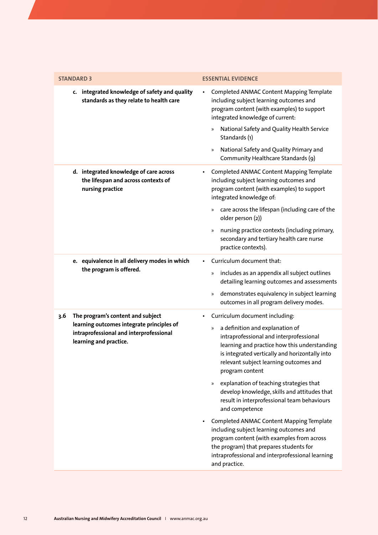| <b>STANDARD 3</b>                                                                                              | <b>ESSENTIAL EVIDENCE</b>                                                                                                                                                                                                                         |
|----------------------------------------------------------------------------------------------------------------|---------------------------------------------------------------------------------------------------------------------------------------------------------------------------------------------------------------------------------------------------|
| c. integrated knowledge of safety and quality<br>standards as they relate to health care                       | Completed ANMAC Content Mapping Template<br>including subject learning outcomes and<br>program content (with examples) to support<br>integrated knowledge of current:<br>National Safety and Quality Health Service<br>»<br>Standards (1)         |
|                                                                                                                | National Safety and Quality Primary and<br>$\gg$<br>Community Healthcare Standards (9)                                                                                                                                                            |
| d. integrated knowledge of care across<br>the lifespan and across contexts of<br>nursing practice              | Completed ANMAC Content Mapping Template<br>$\bullet$<br>including subject learning outcomes and<br>program content (with examples) to support<br>integrated knowledge of:                                                                        |
|                                                                                                                | care across the lifespan (including care of the<br>»<br>older person (2))                                                                                                                                                                         |
|                                                                                                                | nursing practice contexts (including primary,<br>$\gg$<br>secondary and tertiary health care nurse<br>practice contexts).                                                                                                                         |
| e. equivalence in all delivery modes in which                                                                  | Curriculum document that:                                                                                                                                                                                                                         |
| the program is offered.                                                                                        | includes as an appendix all subject outlines<br>$\rangle\!\rangle$<br>detailing learning outcomes and assessments                                                                                                                                 |
|                                                                                                                | demonstrates equivalency in subject learning<br>$\rangle\!\rangle$<br>outcomes in all program delivery modes.                                                                                                                                     |
| The program's content and subject<br>3.6                                                                       | Curriculum document including:<br>$\bullet$                                                                                                                                                                                                       |
| learning outcomes integrate principles of<br>intraprofessional and interprofessional<br>learning and practice. | a definition and explanation of<br>»<br>intraprofessional and interprofessional<br>learning and practice how this understanding<br>is integrated vertically and horizontally into<br>relevant subject learning outcomes and<br>program content    |
|                                                                                                                | explanation of teaching strategies that<br>$\gg$<br>develop knowledge, skills and attitudes that<br>result in interprofessional team behaviours<br>and competence                                                                                 |
|                                                                                                                | Completed ANMAC Content Mapping Template<br>including subject learning outcomes and<br>program content (with examples from across<br>the program) that prepares students for<br>intraprofessional and interprofessional learning<br>and practice. |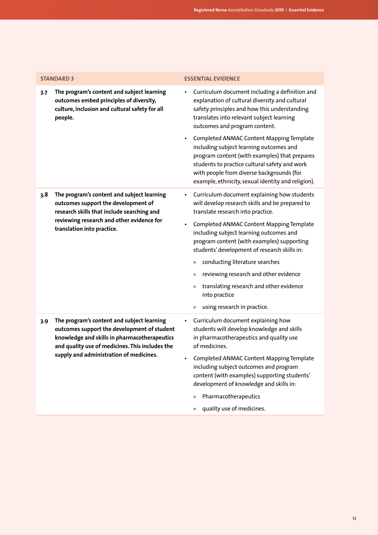|                                                                         | <b>STANDARD 3</b>                                                                                                                                                                            | <b>ESSENTIAL EVIDENCE</b>                                                                                                                                                                                                                                                                |
|-------------------------------------------------------------------------|----------------------------------------------------------------------------------------------------------------------------------------------------------------------------------------------|------------------------------------------------------------------------------------------------------------------------------------------------------------------------------------------------------------------------------------------------------------------------------------------|
| 3.7                                                                     | The program's content and subject learning<br>outcomes embed principles of diversity,<br>culture, inclusion and cultural safety for all<br>people.                                           | Curriculum document including a definition and<br>٠<br>explanation of cultural diversity and cultural<br>safety principles and how this understanding<br>translates into relevant subject learning<br>outcomes and program content.                                                      |
|                                                                         |                                                                                                                                                                                              | Completed ANMAC Content Mapping Template<br>including subject learning outcomes and<br>program content (with examples) that prepares<br>students to practice cultural safety and work<br>with people from diverse backgrounds (for<br>example, ethnicity, sexual identity and religion). |
| 3.8                                                                     | The program's content and subject learning<br>outcomes support the development of<br>research skills that include searching and                                                              | Curriculum document explaining how students<br>٠<br>will develop research skills and be prepared to<br>translate research into practice.                                                                                                                                                 |
| reviewing research and other evidence for<br>translation into practice. | Completed ANMAC Content Mapping Template<br>٠<br>including subject learning outcomes and<br>program content (with examples) supporting<br>students' development of research skills in:       |                                                                                                                                                                                                                                                                                          |
|                                                                         |                                                                                                                                                                                              | conducting literature searches<br>$\rangle\!\rangle$                                                                                                                                                                                                                                     |
|                                                                         |                                                                                                                                                                                              | reviewing research and other evidence<br>$\mathcal{P}$                                                                                                                                                                                                                                   |
|                                                                         |                                                                                                                                                                                              | translating research and other evidence<br>$\rangle\!\rangle$<br>into practice                                                                                                                                                                                                           |
|                                                                         |                                                                                                                                                                                              | using research in practice.<br>$\mathcal{V}$                                                                                                                                                                                                                                             |
| 3.9                                                                     | The program's content and subject learning<br>outcomes support the development of student<br>knowledge and skills in pharmacotherapeutics<br>and quality use of medicines. This includes the | Curriculum document explaining how<br>٠<br>students will develop knowledge and skills<br>in pharmacotherapeutics and quality use<br>of medicines.                                                                                                                                        |
|                                                                         | supply and administration of medicines.                                                                                                                                                      | Completed ANMAC Content Mapping Template<br>$\bullet$<br>including subject outcomes and program<br>content (with examples) supporting students'<br>development of knowledge and skills in:                                                                                               |
|                                                                         |                                                                                                                                                                                              | Pharmacotherapeutics<br>$\mathcal{V}$                                                                                                                                                                                                                                                    |

» quality use of medicines.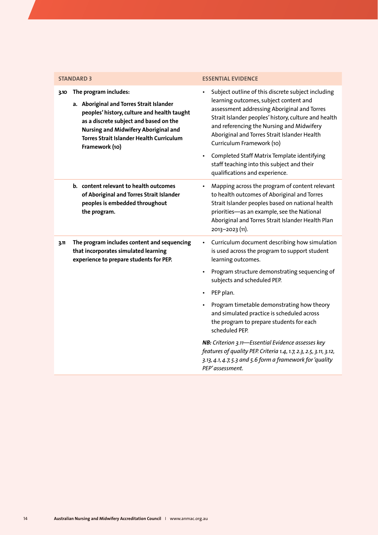| <b>STANDARD 3</b>                                                                                                                                                                                                                                                                      | <b>ESSENTIAL EVIDENCE</b>                                                                                                                                                                                                                                                                                                     |
|----------------------------------------------------------------------------------------------------------------------------------------------------------------------------------------------------------------------------------------------------------------------------------------|-------------------------------------------------------------------------------------------------------------------------------------------------------------------------------------------------------------------------------------------------------------------------------------------------------------------------------|
| The program includes:<br>3.10<br>a. Aboriginal and Torres Strait Islander<br>peoples' history, culture and health taught<br>as a discrete subject and based on the<br><b>Nursing and Midwifery Aboriginal and</b><br><b>Torres Strait Islander Health Curriculum</b><br>Framework (10) | Subject outline of this discrete subject including<br>learning outcomes, subject content and<br>assessment addressing Aboriginal and Torres<br>Strait Islander peoples' history, culture and health<br>and referencing the Nursing and Midwifery<br>Aboriginal and Torres Strait Islander Health<br>Curriculum Framework (10) |
|                                                                                                                                                                                                                                                                                        | Completed Staff Matrix Template identifying<br>staff teaching into this subject and their<br>qualifications and experience.                                                                                                                                                                                                   |
| b. content relevant to health outcomes<br>of Aboriginal and Torres Strait Islander<br>peoples is embedded throughout<br>the program.                                                                                                                                                   | Mapping across the program of content relevant<br>to health outcomes of Aboriginal and Torres<br>Strait Islander peoples based on national health<br>priorities-as an example, see the National<br>Aboriginal and Torres Strait Islander Health Plan<br>2013-2023 (11).                                                       |
| The program includes content and sequencing<br>3.11<br>that incorporates simulated learning<br>experience to prepare students for PEP.                                                                                                                                                 | Curriculum document describing how simulation<br>is used across the program to support student<br>learning outcomes.                                                                                                                                                                                                          |
|                                                                                                                                                                                                                                                                                        | • Program structure demonstrating sequencing of<br>subjects and scheduled PEP.                                                                                                                                                                                                                                                |
|                                                                                                                                                                                                                                                                                        | PEP plan.                                                                                                                                                                                                                                                                                                                     |
|                                                                                                                                                                                                                                                                                        | Program timetable demonstrating how theory<br>and simulated practice is scheduled across<br>the program to prepare students for each<br>scheduled PEP.                                                                                                                                                                        |
|                                                                                                                                                                                                                                                                                        | NB: Criterion 3.11-Essential Evidence assesses key<br>features of quality PEP. Criteria 1.4, 1.7, 2.3, 2.5, 3.11, 3.12,<br>3.13, 4.1, 4.7, 5.3 and 5.6 form a framework for 'quality<br>PEP'assessment.                                                                                                                       |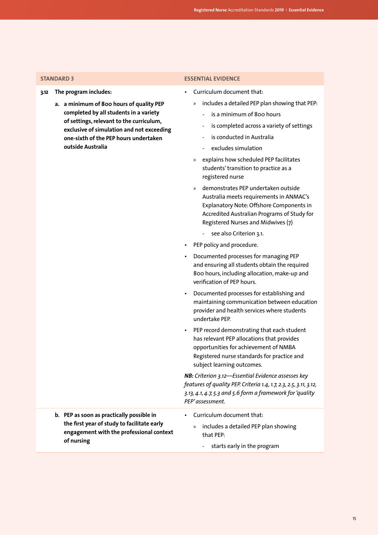- **3.12 The program includes:**
	- **a. a minimum of 800 hours of quality PEP completed by all students in a variety of settings, relevant to the curriculum, exclusive of simulation and not exceeding one-sixth of the PEP hours undertaken outside Australia**

#### **STANDARD 3 ESSENTIAL EVIDENCE**

- Curriculum document that:
	- » includes a detailed PEP plan showing that PEP:
		- is a minimum of 800 hours
		- is completed across a variety of settings
		- is conducted in Australia
		- excludes simulation
	- » explains how scheduled PEP facilitates students' transition to practice as a registered nurse
	- » demonstrates PEP undertaken outside Australia meets requirements in ANMAC's Explanatory Note: Offshore Components in Accredited Australian Programs of Study for Registered Nurses and Midwives (7)
		- see also Criterion 3.1.
- PEP policy and procedure.
- Documented processes for managing PEP and ensuring all students obtain the required 800 hours, including allocation, make-up and verification of PEP hours.
- Documented processes for establishing and maintaining communication between education provider and health services where students undertake PEP.
- PEP record demonstrating that each student has relevant PEP allocations that provides opportunities for achievement of NMBA Registered nurse standards for practice and subject learning outcomes.

*NB: Criterion 3.12—Essential Evidence assesses key features of quality PEP. Criteria 1.4, 1.7, 2.3, 2.5, 3.11, 3.12, 3.13, 4.1, 4.7, 5.3 and 5.6 form a framework for 'quality PEP' assessment.*

- **b. PEP as soon as practically possible in the first year of study to facilitate early engagement with the professional context of nursing**
- » includes a detailed PEP plan showing that PEP:
	- starts early in the program

• Curriculum document that: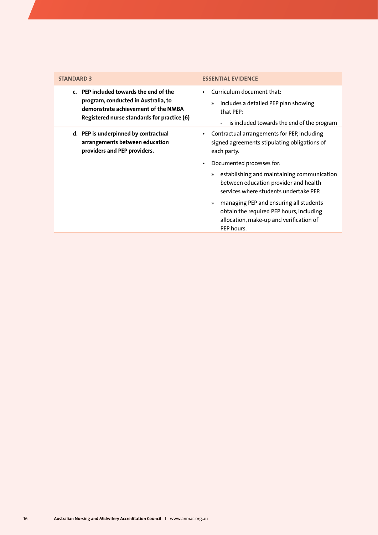| <b>STANDARD 3</b>                                                                                                                                                   | <b>ESSENTIAL EVIDENCE</b>                                                                                                                                     |
|---------------------------------------------------------------------------------------------------------------------------------------------------------------------|---------------------------------------------------------------------------------------------------------------------------------------------------------------|
| c. PEP included towards the end of the<br>program, conducted in Australia, to<br>demonstrate achievement of the NMBA<br>Registered nurse standards for practice (6) | Curriculum document that:<br>includes a detailed PEP plan showing<br>»<br>that PEP:<br>is included towards the end of the program<br>$\overline{\phantom{a}}$ |
| d. PEP is underpinned by contractual<br>arrangements between education<br>providers and PEP providers.                                                              | Contractual arrangements for PEP, including<br>$\bullet$<br>signed agreements stipulating obligations of<br>each party.<br>Documented processes for:          |
|                                                                                                                                                                     | establishing and maintaining communication<br>$\mathcal{P}$<br>between education provider and health<br>services where students undertake PFP.                |
|                                                                                                                                                                     | managing PEP and ensuring all students<br>$\gg$<br>obtain the required PEP hours, including<br>allocation, make-up and verification of<br>PEP hours.          |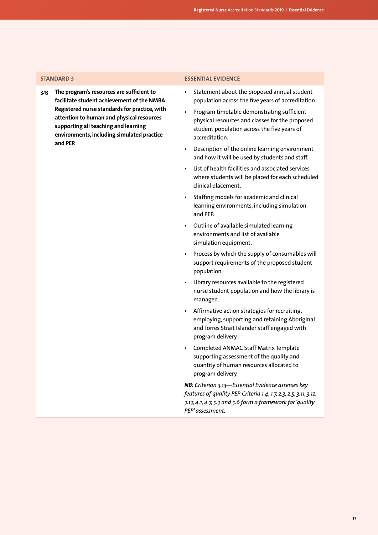**3.13 The program's resources are sufficient to facilitate student achievement of the NMBA Registered nurse standards for practice, with attention to human and physical resources supporting all teaching and learning environments, including simulated practice and PEP.**

### **STANDARD 3 ESSENTIAL EVIDENCE**

- Statement about the proposed annual student population across the five years of accreditation.
- Program timetable demonstrating sufficient physical resources and classes for the proposed student population across the five years of accreditation.
- Description of the online learning environment and how it will be used by students and staff.
- List of health facilities and associated services where students will be placed for each scheduled clinical placement.
- Staffing models for academic and clinical learning environments, including simulation and PEP.
- Outline of available simulated learning environments and list of available simulation equipment.
- Process by which the supply of consumables will support requirements of the proposed student population.
- Library resources available to the registered nurse student population and how the library is managed.
- Affirmative action strategies for recruiting, employing, supporting and retaining Aboriginal and Torres Strait Islander staff engaged with program delivery.
- Completed ANMAC Staff Matrix Template supporting assessment of the quality and quantity of human resources allocated to program delivery.

*NB: Criterion 3.13—Essential Evidence assesses key features of quality PEP. Criteria 1.4, 1.7, 2.3, 2.5, 3.11, 3.12, 3.13, 4.1, 4.7, 5.3 and 5.6 form a framework for 'quality PEP' assessment.*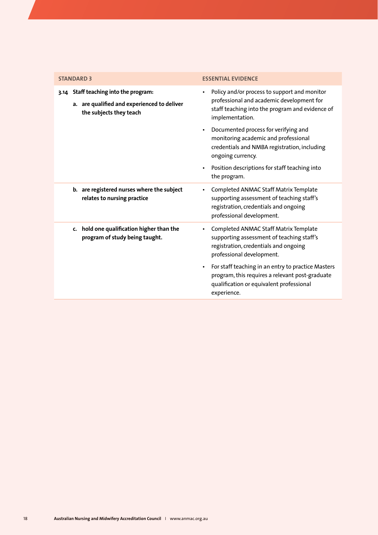<span id="page-19-0"></span>

| <b>STANDARD 3</b>                                                                                               | <b>ESSENTIAL EVIDENCE</b>                                                                                                                                                    |
|-----------------------------------------------------------------------------------------------------------------|------------------------------------------------------------------------------------------------------------------------------------------------------------------------------|
| 3.14 Staff teaching into the program:<br>a. are qualified and experienced to deliver<br>the subjects they teach | Policy and/or process to support and monitor<br>$\bullet$<br>professional and academic development for<br>staff teaching into the program and evidence of<br>implementation. |
|                                                                                                                 | Documented process for verifying and<br>monitoring academic and professional<br>credentials and NMBA registration, including<br>ongoing currency.                            |
|                                                                                                                 | Position descriptions for staff teaching into<br>the program.                                                                                                                |
| b. are registered nurses where the subject<br>relates to nursing practice                                       | Completed ANMAC Staff Matrix Template<br>supporting assessment of teaching staff's<br>registration, credentials and ongoing<br>professional development.                     |
| c. hold one qualification higher than the<br>program of study being taught.                                     | Completed ANMAC Staff Matrix Template<br>supporting assessment of teaching staff's<br>registration, credentials and ongoing<br>professional development.                     |
|                                                                                                                 | For staff teaching in an entry to practice Masters<br>program, this requires a relevant post-graduate<br>qualification or equivalent professional<br>experience.             |
|                                                                                                                 |                                                                                                                                                                              |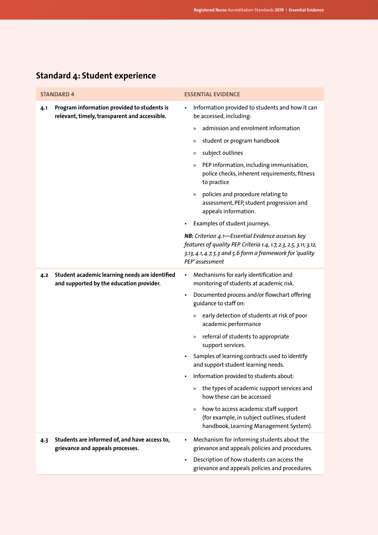| <b>STANDARD 4</b>                                                                                   | <b>ESSENTIAL EVIDENCE</b>                                                                                                                                                                                                                                         |
|-----------------------------------------------------------------------------------------------------|-------------------------------------------------------------------------------------------------------------------------------------------------------------------------------------------------------------------------------------------------------------------|
| Program information provided to students is<br>4.1<br>relevant, timely, transparent and accessible. | Information provided to students and how it can<br>$\bullet$<br>be accessed, including:<br>admission and enrolment information<br>$\mathcal{V}$<br>student or program handbook<br>»<br>subject outlines<br>$\gg$<br>PEP information, including immunisation,<br>» |
|                                                                                                     | police checks, inherent requirements, fitness<br>to practice<br>policies and procedure relating to<br>$\gg$<br>assessment, PEP, student progression and<br>appeals information.                                                                                   |
|                                                                                                     | Examples of student journeys.<br>NB: Criterion 4.1-Essential Evidence assesses key                                                                                                                                                                                |
|                                                                                                     | features of quality PEP. Criteria 1.4, 1.7, 2.3, 2.5, 3.11, 3.12,<br>3.13, 4.1, 4.7, 5.3 and 5.6 form a framework for 'quality<br>PEP'assessment                                                                                                                  |
| Student academic learning needs are identified<br>4.2<br>and supported by the education provider.   | Mechanisms for early identification and<br>$\bullet$<br>monitoring of students at academic risk.                                                                                                                                                                  |
|                                                                                                     | Documented process and/or flowchart offering<br>$\bullet$<br>guidance to staff on:                                                                                                                                                                                |
|                                                                                                     | early detection of students at risk of poor<br>»<br>academic performance                                                                                                                                                                                          |
|                                                                                                     | referral of students to appropriate<br>$\gg$<br>support services.                                                                                                                                                                                                 |
|                                                                                                     | Samples of learning contracts used to identify<br>and support student learning needs.                                                                                                                                                                             |
|                                                                                                     | Information provided to students about:                                                                                                                                                                                                                           |
|                                                                                                     | the types of academic support services and<br>»<br>how these can be accessed                                                                                                                                                                                      |
|                                                                                                     | how to access academic staff support<br>$\gg$<br>(for example, in subject outlines, student<br>handbook, Learning Management System).                                                                                                                             |
| Students are informed of, and have access to,<br>4.3<br>grievance and appeals processes.            | Mechanism for informing students about the<br>grievance and appeals policies and procedures.                                                                                                                                                                      |
|                                                                                                     | Description of how students can access the<br>grievance and appeals policies and procedures.                                                                                                                                                                      |

## **Standard 4: Student experience**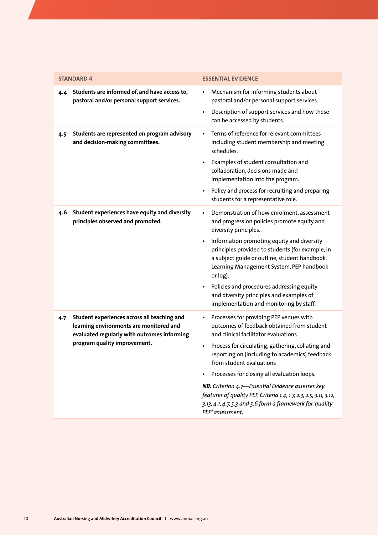<span id="page-21-0"></span>

| <b>STANDARD 4</b>                                                                                                                                                            | <b>ESSENTIAL EVIDENCE</b>                                                                                                                                                                                                                                                                                                                                                                                                                                                                                                               |
|------------------------------------------------------------------------------------------------------------------------------------------------------------------------------|-----------------------------------------------------------------------------------------------------------------------------------------------------------------------------------------------------------------------------------------------------------------------------------------------------------------------------------------------------------------------------------------------------------------------------------------------------------------------------------------------------------------------------------------|
| Students are informed of, and have access to,<br>4.4<br>pastoral and/or personal support services.                                                                           | Mechanism for informing students about<br>pastoral and/or personal support services.<br>Description of support services and how these<br>can be accessed by students.                                                                                                                                                                                                                                                                                                                                                                   |
| Students are represented on program advisory<br>4.5<br>and decision-making committees.                                                                                       | Terms of reference for relevant committees<br>including student membership and meeting<br>schedules.<br>Examples of student consultation and<br>collaboration, decisions made and<br>implementation into the program.<br>Policy and process for recruiting and preparing<br>students for a representative role.                                                                                                                                                                                                                         |
| Student experiences have equity and diversity<br>4.6<br>principles observed and promoted.                                                                                    | Demonstration of how enrolment, assessment<br>$\bullet$<br>and progression policies promote equity and<br>diversity principles.<br>Information promoting equity and diversity<br>principles provided to students (for example, in<br>a subject guide or outline, student handbook,<br>Learning Management System, PEP handbook<br>or log).<br>Policies and procedures addressing equity<br>and diversity principles and examples of<br>implementation and monitoring by staff.                                                          |
| Student experiences across all teaching and<br>4.7<br>learning environments are monitored and<br>evaluated regularly with outcomes informing<br>program quality improvement. | Processes for providing PEP venues with<br>$\bullet$<br>outcomes of feedback obtained from student<br>and clinical facilitator evaluations.<br>Process for circulating, gathering, collating and<br>reporting on (including to academics) feedback<br>from student evaluations<br>Processes for closing all evaluation loops.<br>NB: Criterion 4.7-Essential Evidence assesses key<br>features of quality PEP. Criteria 1.4, 1.7, 2.3, 2.5, 3.11, 3.12,<br>3.13, 4.1, 4.7, 5.3 and 5.6 form a framework for 'quality<br>PEP'assessment. |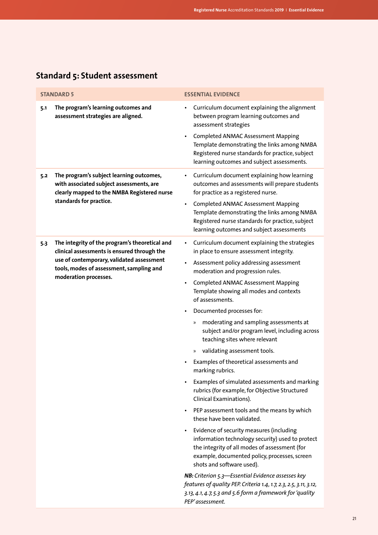| <b>STANDARD 5</b>                                                                                                                                                                                                      | <b>ESSENTIAL EVIDENCE</b>                                                                                                                                                                                                                                                                                                                                                                                                                                                                                                                                                                                                                                                                                                                                                                                                                                                                                                                                                                                                                                                                                                                                                                        |
|------------------------------------------------------------------------------------------------------------------------------------------------------------------------------------------------------------------------|--------------------------------------------------------------------------------------------------------------------------------------------------------------------------------------------------------------------------------------------------------------------------------------------------------------------------------------------------------------------------------------------------------------------------------------------------------------------------------------------------------------------------------------------------------------------------------------------------------------------------------------------------------------------------------------------------------------------------------------------------------------------------------------------------------------------------------------------------------------------------------------------------------------------------------------------------------------------------------------------------------------------------------------------------------------------------------------------------------------------------------------------------------------------------------------------------|
| The program's learning outcomes and<br>5.1<br>assessment strategies are aligned.                                                                                                                                       | Curriculum document explaining the alignment<br>between program learning outcomes and<br>assessment strategies<br><b>Completed ANMAC Assessment Mapping</b><br>$\bullet$<br>Template demonstrating the links among NMBA<br>Registered nurse standards for practice, subject<br>learning outcomes and subject assessments.                                                                                                                                                                                                                                                                                                                                                                                                                                                                                                                                                                                                                                                                                                                                                                                                                                                                        |
| The program's subject learning outcomes,<br>5.2<br>with associated subject assessments, are<br>clearly mapped to the NMBA Registered nurse<br>standards for practice.                                                  | Curriculum document explaining how learning<br>$\bullet$<br>outcomes and assessments will prepare students<br>for practice as a registered nurse.<br>Completed ANMAC Assessment Mapping<br>$\bullet$<br>Template demonstrating the links among NMBA<br>Registered nurse standards for practice, subject<br>learning outcomes and subject assessments                                                                                                                                                                                                                                                                                                                                                                                                                                                                                                                                                                                                                                                                                                                                                                                                                                             |
| The integrity of the program's theoretical and<br>5.3<br>clinical assessments is ensured through the<br>use of contemporary, validated assessment<br>tools, modes of assessment, sampling and<br>moderation processes. | Curriculum document explaining the strategies<br>$\bullet$<br>in place to ensure assessment integrity.<br>Assessment policy addressing assessment<br>$\bullet$<br>moderation and progression rules.<br><b>Completed ANMAC Assessment Mapping</b><br>Template showing all modes and contexts<br>of assessments.<br>Documented processes for:<br>$\bullet$<br>moderating and sampling assessments at<br>$\gg$<br>subject and/or program level, including across<br>teaching sites where relevant<br>validating assessment tools.<br>»<br>Examples of theoretical assessments and<br>marking rubrics.<br>Examples of simulated assessments and marking<br>rubrics (for example, for Objective Structured<br>Clinical Examinations).<br>PEP assessment tools and the means by which<br>$\bullet$<br>these have been validated.<br>Evidence of security measures (including<br>$\bullet$<br>information technology security) used to protect<br>the integrity of all modes of assessment (for<br>example, documented policy, processes, screen<br>shots and software used).<br>NB: Criterion 5.3-Essential Evidence assesses key<br>features of quality PEP. Criteria 1.4, 1.7, 2.3, 2.5, 3.11, 3.12, |
|                                                                                                                                                                                                                        | 3.13, 4.1, 4.7, 5.3 and 5.6 form a framework for 'quality<br>PEP'assessment.                                                                                                                                                                                                                                                                                                                                                                                                                                                                                                                                                                                                                                                                                                                                                                                                                                                                                                                                                                                                                                                                                                                     |

## **Standard 5: Student assessment**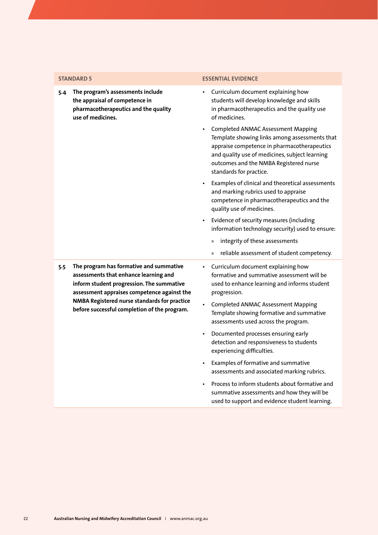**5.4 The program's assessments include the appraisal of competence in pharmacotherapeutics and the quality use of medicines.**

### **STANDARD 5 ESSENTIAL EVIDENCE**

- Curriculum document explaining how students will develop knowledge and skills in pharmacotherapeutics and the quality use of medicines.
- Completed ANMAC Assessment Mapping Template showing links among assessments that appraise competence in pharmacotherapeutics and quality use of medicines, subject learning outcomes and the NMBA Registered nurse standards for practice.
- Examples of clinical and theoretical assessments and marking rubrics used to appraise competence in pharmacotherapeutics and the quality use of medicines.
- Evidence of security measures (including information technology security) used to ensure:
	- » integrity of these assessments
	- » reliable assessment of student competency.
- **5.5 The program has formative and summative assessments that enhance learning and inform student progression. The summative assessment appraises competence against the NMBA Registered nurse standards for practice before successful completion of the program.**
- Curriculum document explaining how formative and summative assessment will be used to enhance learning and informs student progression.
	- Completed ANMAC Assessment Mapping Template showing formative and summative assessments used across the program.
	- Documented processes ensuring early detection and responsiveness to students experiencing difficulties.
	- Examples of formative and summative assessments and associated marking rubrics.
	- Process to inform students about formative and summative assessments and how they will be used to support and evidence student learning.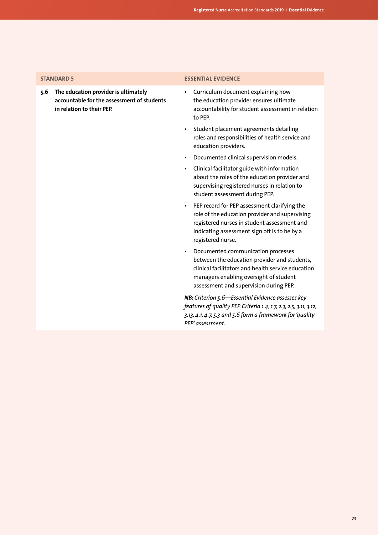**5.6 The education provider is ultimately accountable for the assessment of students in relation to their PEP.**

### <span id="page-24-0"></span>**STANDARD 5 ESSENTIAL EVIDENCE**

- Curriculum document explaining how the education provider ensures ultimate accountability for student assessment in relation to PEP.
- Student placement agreements detailing roles and responsibilities of health service and education providers.
- Documented clinical supervision models.
- Clinical facilitator guide with information about the roles of the education provider and supervising registered nurses in relation to student assessment during PEP.
- PEP record for PEP assessment clarifying the role of the education provider and supervising registered nurses in student assessment and indicating assessment sign off is to be by a registered nurse.
- Documented communication processes between the education provider and students, clinical facilitators and health service education managers enabling oversight of student assessment and supervision during PEP.

*NB: Criterion 5.6—Essential Evidence assesses key features of quality PEP. Criteria 1.4, 1.7, 2.3, 2.5, 3.11, 3.12, 3.13, 4.1, 4.7, 5.3 and 5.6 form a framework for 'quality PEP' assessment.*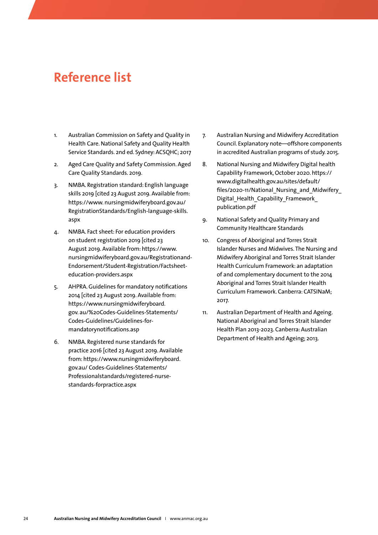## **Reference list**

- 1. Australian Commission on Safety and Quality in Health Care. National Safety and Quality Health Service Standards. 2nd ed. Sydney: ACSQHC; 2017
- 2. Aged Care Quality and Safety Commission. Aged Care Quality Standards. 2019.
- 3. NMBA. Registration standard: English language skills 2019 [cited 23 August 2019. Available from: https://www. nursingmidwiferyboard.gov.au/ RegistrationStandards/English-language-skills. aspx
- 4. NMBA. Fact sheet: For education providers on student registration 2019 [cited 23 August 2019. Available from: https://www. nursingmidwiferyboard.gov.au/Registrationand-Endorsement/Student-Registration/Factsheeteducation-providers.aspx
- 5. AHPRA. Guidelines for mandatory notifications 2014 [cited 23 August 2019. Available from: https://www.nursingmidwiferyboard. gov. au/%20Codes-Guidelines-Statements/ Codes-Guidelines/Guidelines-formandatorynotifications.asp
- 6. NMBA. Registered nurse standards for practice 2016 [cited 23 August 2019. Available from: https://www.nursingmidwiferyboard. gov.au/ Codes-Guidelines-Statements/ Professionalstandards/registered-nursestandards-forpractice.aspx
- 7. Australian Nursing and Midwifery Accreditation Council. Explanatory note—offshore components in accredited Australian programs of study. 2015.
- 8. National Nursing and Midwifery Digital health Capability Framework, October 2020. https:// www.digitalhealth.gov.au/sites/default/ files/2020-11/National Nursing and Midwifery Digital Health Capability Framework publication.pdf
- 9. National Safety and Quality Primary and Community Healthcare Standards
- 10. Congress of Aboriginal and Torres Strait Islander Nurses and Midwives. The Nursing and Midwifery Aboriginal and Torres Strait Islander Health Curriculum Framework: an adaptation of and complementary document to the 2014 Aboriginal and Torres Strait Islander Health Curriculum Framework. Canberra: CATSINaM; 2017.
- 11. Australian Department of Health and Ageing. National Aboriginal and Torres Strait Islander Health Plan 2013-2023. Canberra: Australian Department of Health and Ageing; 2013.